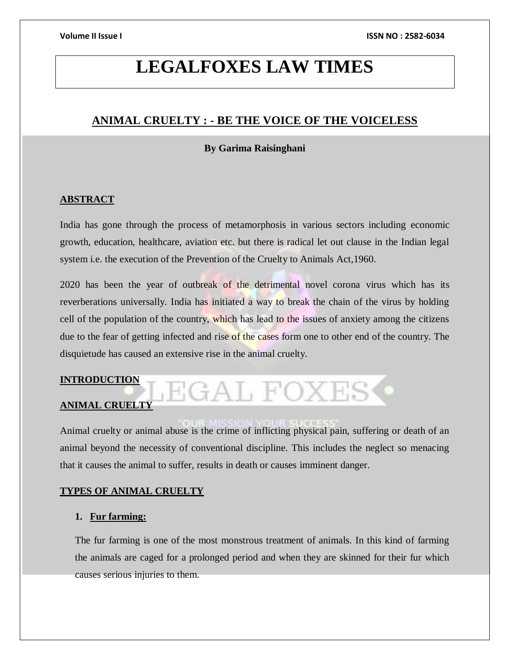# **LEGALFOXES LAW TIMES**

# **ANIMAL CRUELTY : - BE THE VOICE OF THE VOICELESS**

### **By Garima Raisinghani**

# **ABSTRACT**

India has gone through the process of metamorphosis in various sectors including economic growth, education, healthcare, aviation etc. but there is radical let out clause in the Indian legal system i.e. the execution of the Prevention of the Cruelty to Animals Act,1960.

2020 has been the year of outbreak of the detrimental novel corona virus which has its reverberations universally. India has initiated a way to break the chain of the virus by holding cell of the population of the country, which has lead to the issues of anxiety among the citizens due to the fear of getting infected and rise of the cases form one to other end of the country. The disquietude has caused an extensive rise in the animal cruelty.

# **INTRODUCTION**

# **ANIMAL CRUELTY**

Animal cruelty or animal abuse is the crime of inflicting physical pain, suffering or death of an

JEGAL FOXES

animal beyond the necessity of conventional discipline. This includes the neglect so menacing that it causes the animal to suffer, results in death or causes imminent danger.

# **TYPES OF ANIMAL CRUELTY**

# **1. Fur farming:**

The fur farming is one of the most monstrous treatment of animals. In this kind of farming the animals are caged for a prolonged period and when they are skinned for their fur which causes serious injuries to them.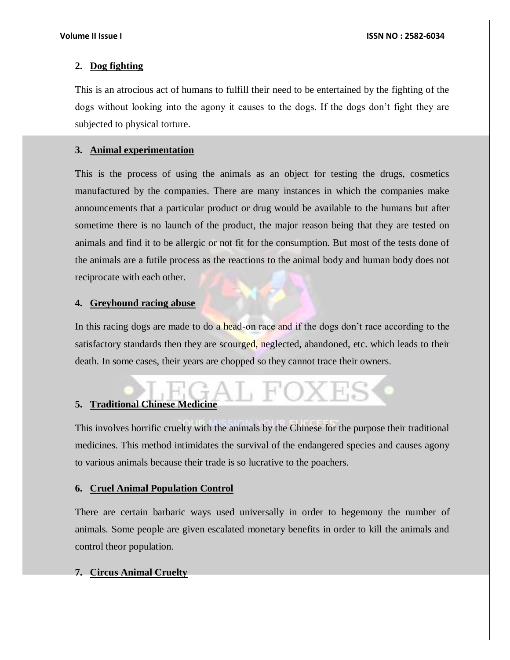### **2. Dog fighting**

This is an atrocious act of humans to fulfill their need to be entertained by the fighting of the dogs without looking into the agony it causes to the dogs. If the dogs don't fight they are subjected to physical torture.

### **3. Animal experimentation**

This is the process of using the animals as an object for testing the drugs, cosmetics manufactured by the companies. There are many instances in which the companies make announcements that a particular product or drug would be available to the humans but after sometime there is no launch of the product, the major reason being that they are tested on animals and find it to be allergic or not fit for the consumption. But most of the tests done of the animals are a futile process as the reactions to the animal body and human body does not reciprocate with each other.

#### **4. Greyhound racing abuse**

In this racing dogs are made to do a head-on race and if the dogs don't race according to the satisfactory standards then they are scourged, neglected, abandoned, etc. which leads to their death. In some cases, their years are chopped so they cannot trace their owners.

# **5. Traditional Chinese Medicine**

This involves horrific cruelty with the animals by the Chinese for the purpose their traditional medicines. This method intimidates the survival of the endangered species and causes agony to various animals because their trade is so lucrative to the poachers.

#### **6. Cruel Animal Population Control**

There are certain barbaric ways used universally in order to hegemony the number of animals. Some people are given escalated monetary benefits in order to kill the animals and control theor population.

#### **7. Circus Animal Cruelty**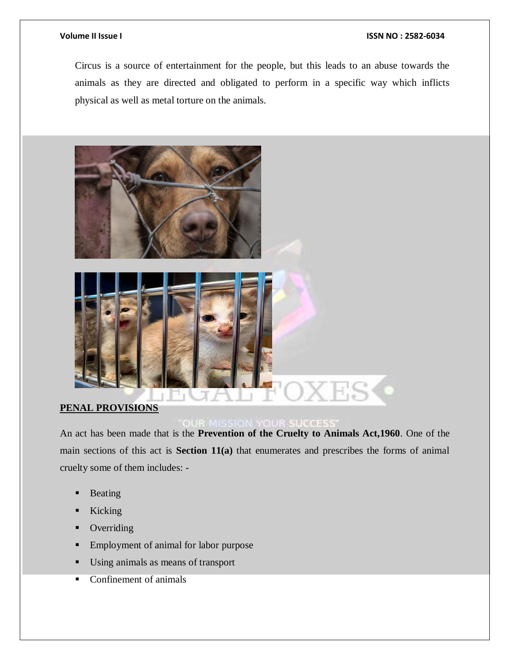#### **Volume II Issue I ISSN NO : 2582-6034**

Circus is a source of entertainment for the people, but this leads to an abuse towards the animals as they are directed and obligated to perform in a specific way which inflicts physical as well as metal torture on the animals.



# **PENAL PROVISIONS**

An act has been made that is the **Prevention of the Cruelty to Animals Act,1960**. One of the main sections of this act is **Section 11(a)** that enumerates and prescribes the forms of animal cruelty some of them includes: -

- **Beating**
- **Kicking**
- Overriding
- **Employment of animal for labor purpose**
- Using animals as means of transport
- Confinement of animals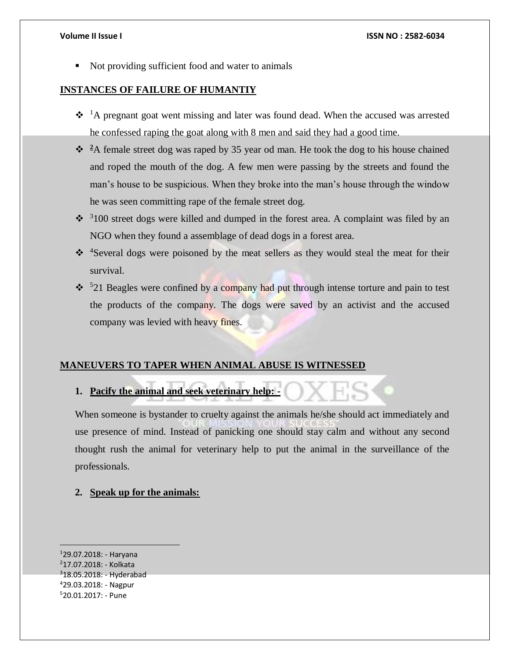Not providing sufficient food and water to animals

### **INSTANCES OF FAILURE OF HUMANTIY**

- $\cdot \cdot$ <sup>1</sup>A pregnant goat went missing and later was found dead. When the accused was arrested he confessed raping the goat along with 8 men and said they had a good time.
- $\cdot\cdot\cdot$  <sup>2</sup>A female street dog was raped by 35 year od man. He took the dog to his house chained and roped the mouth of the dog. A few men were passing by the streets and found the man's house to be suspicious. When they broke into the man's house through the window he was seen committing rape of the female street dog.
- $\cdot$ <sup>3</sup>100 street dogs were killed and dumped in the forest area. A complaint was filed by an NGO when they found a assemblage of dead dogs in a forest area.
- $\cdot$  <sup>4</sup>Several dogs were poisoned by the meat sellers as they would steal the meat for their survival.
- $\cdot$  <sup>5</sup>21 Beagles were confined by a company had put through intense torture and pain to test the products of the company. The dogs were saved by an activist and the accused company was levied with heavy fines.

#### **MANEUVERS TO TAPER WHEN ANIMAL ABUSE IS WITNESSED**

# **1. Pacify the animal and seek veterinary help: -**

When someone is bystander to cruelty against the animals he/she should act immediately and use presence of mind. Instead of panicking one should stay calm and without any second thought rush the animal for veterinary help to put the animal in the surveillance of the professionals.

### **2. Speak up for the animals:**

 $129.07.2018:$  - Haryana <sup>2</sup>17.07.2018: - Kolkata  $318.05.2018$ : - Hyderabad <sup>4</sup>29.03.2018: - Nagpur <sup>5</sup>20.01.2017: - Pune

 $\overline{a}$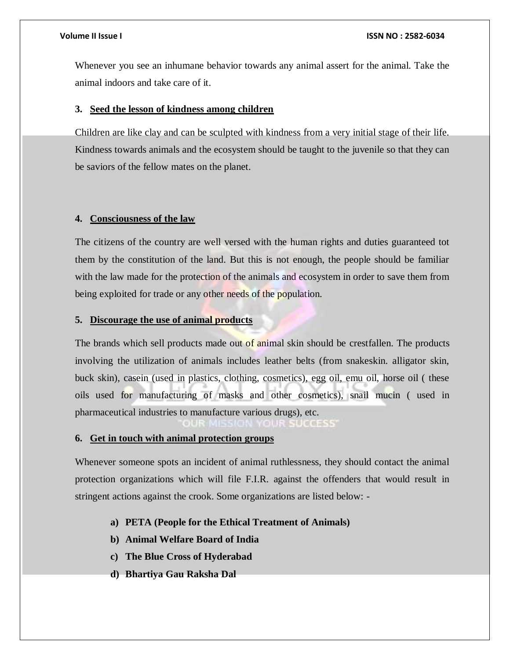#### **Volume II Issue I ISSN NO : 2582-6034**

Whenever you see an inhumane behavior towards any animal assert for the animal. Take the animal indoors and take care of it.

#### **3. Seed the lesson of kindness among children**

Children are like clay and can be sculpted with kindness from a very initial stage of their life. Kindness towards animals and the ecosystem should be taught to the juvenile so that they can be saviors of the fellow mates on the planet.

#### **4. Consciousness of the law**

The citizens of the country are well versed with the human rights and duties guaranteed tot them by the constitution of the land. But this is not enough, the people should be familiar with the law made for the protection of the animals and ecosystem in order to save them from being exploited for trade or any other needs of the population.

#### **5. Discourage the use of animal products**

The brands which sell products made out of animal skin should be crestfallen. The products involving the utilization of animals includes leather belts (from snakeskin. alligator skin, buck skin), casein (used in plastics, clothing, cosmetics), egg oil, emu oil, horse oil ( these oils used for manufacturing of masks and other cosmetics), snail mucin ( used in pharmaceutical industries to manufacture various drugs), etc.

#### **6. Get in touch with animal protection groups**

Whenever someone spots an incident of animal ruthlessness, they should contact the animal protection organizations which will file F.I.R. against the offenders that would result in stringent actions against the crook. Some organizations are listed below: -

### **a) PETA (People for the Ethical Treatment of Animals)**

- **b) Animal Welfare Board of India**
- **c) The Blue Cross of Hyderabad**
- **d) Bhartiya Gau Raksha Dal**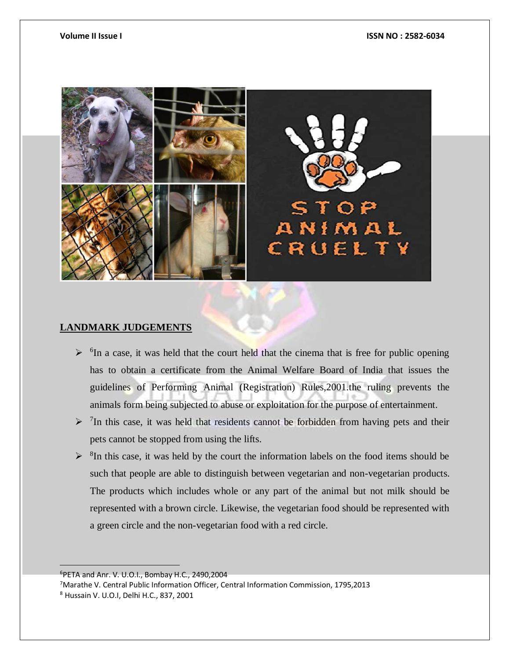

# **LANDMARK JUDGEMENTS**

- $\triangleright$  <sup>6</sup>In a case, it was held that the court held that the cinema that is free for public opening has to obtain a certificate from the Animal Welfare Board of India that issues the guidelines of Performing Animal (Registration) Rules,2001.the ruling prevents the animals form being subjected to abuse or exploitation for the purpose of entertainment.
- $\geq$  <sup>7</sup>In this case, it was held that residents cannot be forbidden from having pets and their pets cannot be stopped from using the lifts.
- $\triangleright$  <sup>8</sup>In this case, it was held by the court the information labels on the food items should be such that people are able to distinguish between vegetarian and non-vegetarian products. The products which includes whole or any part of the animal but not milk should be represented with a brown circle. Likewise, the vegetarian food should be represented with a green circle and the non-vegetarian food with a red circle.

<sup>6</sup>PETA and Anr. V. U.O.I., Bombay H.C., 2490,2004

<sup>7</sup>Marathe V. Central Public Information Officer, Central Information Commission, 1795,2013

 $\overline{a}$ 

<sup>8</sup> Hussain V. U.O.I, Delhi H.C., 837, 2001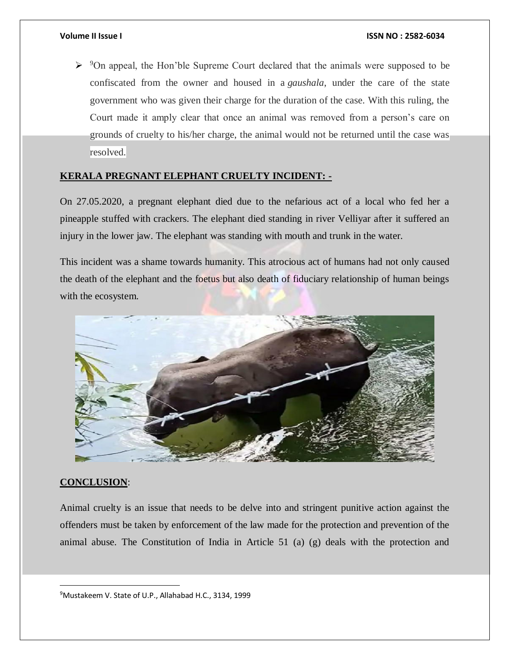$\triangleright$  <sup>9</sup>On appeal, the Hon'ble Supreme Court declared that the animals were supposed to be confiscated from the owner and housed in a *gaushala*, under the care of the state government who was given their charge for the duration of the case. With this ruling, the Court made it amply clear that once an animal was removed from a person's care on grounds of cruelty to his/her charge, the animal would not be returned until the case was resolved.

# **KERALA PREGNANT ELEPHANT CRUELTY INCIDENT: -**

On 27.05.2020, a pregnant elephant died due to the nefarious act of a local who fed her a pineapple stuffed with crackers. The elephant died standing in river Velliyar after it suffered an injury in the lower jaw. The elephant was standing with mouth and trunk in the water.

This incident was a shame towards humanity. This atrocious act of humans had not only caused the death of the elephant and the foetus but also death of fiduciary relationship of human beings with the ecosystem.



# **CONCLUSION**:

 $\overline{a}$ 

Animal cruelty is an issue that needs to be delve into and stringent punitive action against the offenders must be taken by enforcement of the law made for the protection and prevention of the animal abuse. The Constitution of India in Article 51 (a) (g) deals with the protection and

<sup>9</sup>Mustakeem V. State of U.P., Allahabad H.C., 3134, 1999